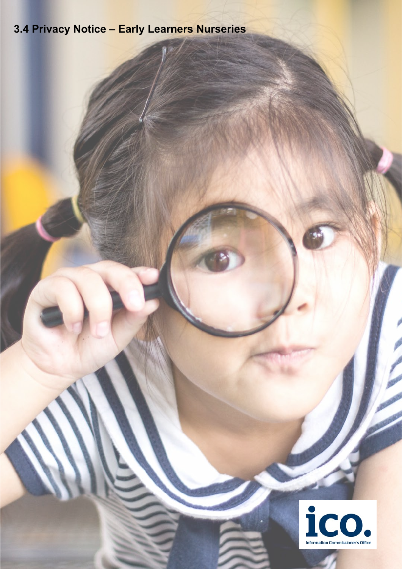# **3.4 Privacy Notice – Early Learners Nurseries**

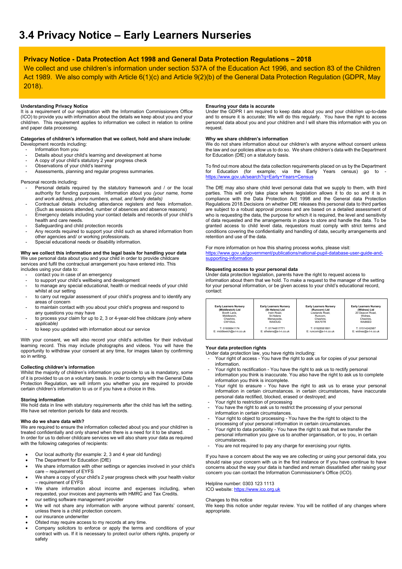# **Privacy Notice - Data Protection Act 1998 and General Data Protection Regulations – 2018**

We collect and use children's information under section 537A of the Education Act 1996, and section 83 of the Children Act 1989. We also comply with Article 6(1)(c) and Article 9(2)(b) of the General Data Protection Regulation (GDPR, May 2018).

# **Understanding Privacy Notice**

It is a requirement of our registration with the Information Commissioners Office (ICO) to provide you with information about the details we keep about you and your child/ren. This requirement applies to information we collect in relation to online and paper data processing.

#### **Categories of children's information that we collect, hold and share include**: Development records including:

- Information from you

- Details about your child's learning and development at home
- A copy of your child's statutory 2 year progress check
- Observations of your child's learning
- Assessments, planning and regular progress summaries.

Personal records including:

- Personal details required by the statutory framework and / or the local authority for funding purposes. Information about you *(your name, home and work address, phone numbers, email, and family details)*
- Contractual details including attendance registers and fees information. (Such as sessions attended, number of absences and absence reasons)
- Emergency details including your contact details and records of your child's health and care needs.
- Safeguarding and child protection records
- Any records required to support your child such as shared information from other agencies and/ or working professionals.
- Special educational needs or disability information.

# **Why we collect this information and the legal basis for handling your data**

We use personal data about you and your child in order to provide childcare services and fulfil the contractual arrangement you have entered into. This includes using your data to:

- contact you in case of an emergency
- to support your child's wellbeing and development
- to manage any special educational, health or medical needs of your child whilst at our setting
- to carry out regular assessment of your child's progress and to identify any areas of concern
- to maintain contact with you about your child's progress and respond to any questions you may have
- to process your claim for up to 2, 3 or 4-year-old free childcare *(only where applicable)*
- to keep you updated with information about our service

With your consent, we will also record your child's activities for their individual learning record. This may include photographs and videos. You will have the opportunity to withdraw your consent at any time, for images taken by confirming so in writing.

## **Collecting children's information**

Whilst the majority of children's information you provide to us is mandatory, some of it is provided to us on a voluntary basis. In order to comply with the General Data Protection Regulation, we will inform you whether you are required to provide certain children's information to us or if you have a choice in this.

#### **Storing information**

We hold data in line with statutory requirements after the child has left the setting. We have set retention periods for data and records.

#### **Who do we share data with?**

We are required to ensure the information collected about you and your child/ren is treated confidentially and only shared when there is a need for it to be shared. In order for us to deliver childcare services we will also share your data as required with the following categories of recipients:

- Our local authority (for example: 2, 3 and 4 year old funding)
- The Department for Education (DfE)
- We share information with other settings or agencies involved in your child's care – requirement of EYFS
- We share a copy of your child's 2 year progress check with your health visitor – requirement of EYFS
- We share information about income and expenses including, when requested, your invoices and payments with HMRC and Tax Credits.
- our setting software management provider
- We will not share any information with anyone without parents' consent, unless there is a child protection concern.
- our insurance underwriter
- Ofsted may require access to my records at any time.
- Company solicitors to enforce or apply the terms and conditions of your contract with us. If it is necessary to protect our/or others rights, property or safety

# **Ensuring your data is accurate**

Under the GDPR I am required to keep data about you and your child/ren up-to-date and to ensure it is accurate; We will do this regularly. You have the right to access personal data about you and your child/ren and I will share this information with you on request.

# **Why we share children's information**

We do not share information about our children's with anyone without consent unless the law and our policies allow us to do so. We share children's data with the Department for Education (DfE) on a statutory basis.

To find out more about the data collection requirements placed on us by the Department for Education (for example; via the Early Years census) go to <https://www.gov.uk/search?q=Early+Years+Census>

The DfE may also share child level personal data that we supply to them, with third parties. This will only take place where legislation allows it to do so and it is in compliance with the Data Protection Act 1998 and the General data Protection Regulations 2018.Decisions on whether DfE releases this personal data to third parties are subject to a robust approval process and are based on a detailed assessment of who is requesting the data, the purpose for which it is required, the level and sensitivity of data requested and the arrangements in place to store and handle the data. To be granted access to child level data, requestors must comply with strict terms and conditions covering the confidentiality and handling of data, security arrangements and retention and use of the data.

#### For more information on how this sharing process works, please visit: [https://www.gov.uk/government/publications/national-pupil-database-user-guide-and](https://www.gov.uk/government/publications/national-pupil-database-user-guide-and-supporting-information)[supporting-information.](https://www.gov.uk/government/publications/national-pupil-database-user-guide-and-supporting-information)

## **Requesting access to your personal data**

Under data protection legislation, parents have the right to request access to information about them that we hold. To make a request to the manager of the setting for your personal information, or be given access to your child's educational record, contact:

| <b>Early Learners Nurserv</b> | <b>Early Learners Nursery</b> | <b>Early Learners Nurserv</b> | <b>Early Learners Nurserv</b> |
|-------------------------------|-------------------------------|-------------------------------|-------------------------------|
| (Middlewich) Ltd              | (St Helens) Ltd               | (Runcorn) Ltd                 | (Widnes) Ltd                  |
| Booth Lane.                   | Irwin Road.                   | Lowlands Road.                | 20 Deacon Road.               |
| Middlewich.                   | St Helens                     | Runcorn.                      | Widnes.                       |
| Cheshire.                     | Mersevside.                   | Cheshire.                     | Cheshire.                     |
| CW100.II                      | <b>WA93UG</b>                 | WA75TR                        | WA86FD                        |
| T: 01606841174                | T: 01744817771                | T: 01928581881                | T: 01514242987                |
| E: middlewich@e-l-n.co.uk     | E: sthelens@e-l-n.co.uk       | E: runcom@e-l-n.co.uk         | E: widnes@e-l-n.co.uk         |

#### **Your data protection rights**

Under data protection law, you have rights including:

- Your right of access You have the right to ask us for copies of your personal information.
- Your right to rectification You have the right to ask us to rectify personal information you think is inaccurate. You also have the right to ask us to complete information you think is incomplete.
- Your right to erasure You have the right to ask us to erase your personal information in certain circumstances. in certain circumstances, have inaccurate personal data rectified, blocked, erased or destroyed; and
- .<br>Your right to restriction of processing You have the right to ask us to restrict the processing of your personal
- information in certain circumstances. Your right to object to processing - You have the the right to object to the processing of your personal information in certain circumstances.
- Your right to data portability You have the right to ask that we transfer the personal information you gave us to another organisation, or to you, in certain .<br>circumstances
- You are not required to pay any charge for exercising your rights.

If you have a concern about the way we are collecting or using your personal data, you should raise your concern with us in the first instance or If you have continue to have concerns about the way your data is handled and remain dissatisfied after raising your concern you can contact the Information Commissioner's Office (ICO).

# Helpline number: 0303 123 1113

ICO website[: https://www.ico.org.uk](https://www.ico.org.uk/)

#### Changes to this notice

We keep this notice under regular review. You will be notified of any changes where appropriate.